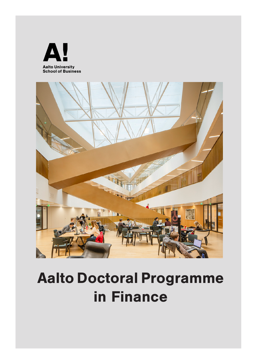



# Aalto Doctoral Programme in Finance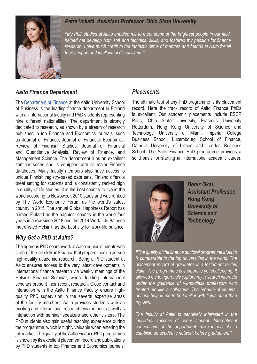

# *Petra Vokatá, Assistant Professor, Ohio State University*

*"My PhD studies at Aalto enabled me to meet some of the brightest people in our field, helped me develop both soft and technical skills, and fostered my passion for finance*  research. I give much credit to the fantastic circle of mentors and friends at Aalto for all *their support and intellectual discussions."*

### *Aalto Finance Department*

The [Department of Finance](https://www.aalto.fi/en/department-of-finance) at the Aalto University School of Business is the leading finance department in Finland with an international faculty and PhD students representing nine different nationalities. The department is strongly dedicated to research, as shown by a stream of research published in top Finance and Economics journals, such as Journal of Finance, Journal of Financial Economics, Review of Financial Studies, Journal of Financial and Quantitative Analysis, Review of Finance, and Management Science. The department runs an excellent seminar series and is equipped with all major Finance databases. Many faculty members also have access to unique Finnish registry-based data sets. Finland offers a great setting for students and is consistently ranked high in quality-of-life studies. It is the best country to live in the world according to Newsweek 2010 study and was ranked by The World Economic Forum as the world's safest country in 2015. The annual Global Happiness Report has named Finland as the happiest country in the world four years in a row since 2018 and the 2019 Work-Life Balance Index listed Helsinki as the best city for work-life balance.

### *Why Get a PhD at Aalto?*

The rigorous PhD coursework at Aalto equips students with state-of-the-art skills in Finance that prepare them to pursue high-quality academic research. Being a PhD student at Aalto ensures access to the very latest developments in international finance research via weekly meetings of the Helsinki Finance Seminar, where leading international scholars present their recent research. Close contact and interaction with the Aalto Finance Faculty ensure highquality PhD supervision in the several expertise areas of the faculty members. Aalto provides students with an exciting and international research environment as well as interaction with seminar speakers and other visitors. The PhD students also gain useful teaching experience during the programme, which is highly valuable when entering the job market. The quality of the Aalto Finance PhD programme is shown by its excellent placement record and publications by PhD students in top Finance and Economics journals.

#### *Placements*

The ultimate test of any PhD programme is its placement record. Here the track record of Aalto Finance PhDs is excellent. Our academic placements include ESCP Paris, Ohio State University, Erasmus University Rotterdam, Hong Kong University of Science and Technology, University of Miami, Imperial College Business School, Luxembourg School of Finance, Catholic University of Lisbon and London Business School. The Aalto Finance PhD programme provides a solid basis for starting an international academic career.



*Deniz Okat, Assistant Professor, Hong Kong University of Science and Technology*

*"The quality of the finance doctoral programme at Aalto is comparable to the top universities in the world. The placement record of graduates is a testament to this claim. The programme is supportive yet challenging. It allowed me to rigorously explore my research interests under the guidance of world-class professors who treated me like a colleague. The breadth of seminar options helped me to be familiar with fields other than my own.*

*The faculty at Aalto is genuinely interested in the individual success of every student. International connections of the department make it possible to establish an academic network before graduation."*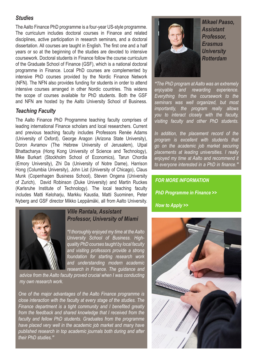### *Studies*

The Aalto Finance PhD programme is a four-year US-style programme. The curriculum includes doctoral courses in Finance and related disciplines, active participation in research seminars, and a doctoral dissertation. All courses are taught in English. The first one and a half years or so at the beginning of the studies are devoted to intensive coursework. Doctoral students in Finance follow the course curriculum of the Graduate School of Finance (GSF), which is a national doctoral programme in Finance. Local PhD courses are complemented by intensive PhD courses provided by the Nordic Finance Network (NFN). The NFN also provides funding for students in order to attend intensive courses arranged in other Nordic countries. This widens the scope of courses available for PhD students. Both the GSF and NFN are hosted by the Aalto University School of Business.

### *Teaching Faculty*

The Aalto Finance PhD Programme teaching faculty comprises of leading international Finance scholars and local researchers. Current and previous teaching faculty includes Professors Renée Adams (University of Oxford), George Aragon (Arizona State University), Doron Avramov (The Hebrew University of Jerusalem), Utpal Bhattacharya (Hong Kong University of Science and Technology), Mike Burkart (Stockholm School of Economics), Tarun Chordia (Emory University), Zhi Da (University of Notre Dame), Harrison Hong (Columbia University), John List (University of Chicago), Claus Munk (Copenhagen Business School), Steven Ongena (University of Zurich), David Robinson (Duke University) and Martin Ruckes (Karlsruhe Institute of Technology). The local teaching faculty includes Matti Keloharju, Markku Kaustia, Matti Suominen, Peter Nyberg and GSF director Mikko Leppämäki, all from Aalto University.



### *Ville Rantala, Assistant Professor, University of Miami*

*"I thoroughly enjoyed my time at the Aalto University School of Business. Highquality PhD courses taught by local faculty and visiting professors provide a strong foundation for starting research work and understanding modern academic research in Finance. The guidance and* 

*advice from the Aalto faculty proved crucial when I was conducting my own research work.* 

*One of the major advantages of the Aalto Finance programme is close interaction with the faculty at every stage of the studies. The Finance department is a tight community and I benefited greatly from the feedback and shared knowledge that I received from the faculty and fellow PhD students. Graduates from the programme have placed very well in the academic job market and many have published research in top academic journals both during and after their PhD studies."*



*Mikael Paaso, Assistant Professor, Erasmus University Rotterdam*

*"The PhD program at Aalto was an extremely enjoyable and rewarding experience. Everything from the coursework to the seminars was well organized, but most importantly, the program really allows you to interact closely with the faculty, visiting faculty and other PhD students.* 

*In addition, the placement record of the program is excellent with students that go on the academic job market securing placements at leading universities. I really enjoyed my time at Aalto and recommend it to everyone interested in a PhD in finance."*

# *FOR MORE INFORMATION [PhD Programme in Finance](https://www.aalto.fi/department-of-finance/phd-programme-in-finance) >>*

*[How to Apply](https://www.aalto.fi/en/study-options/aalto-doctoral-programme-in-business-economics-and-finance) >>*